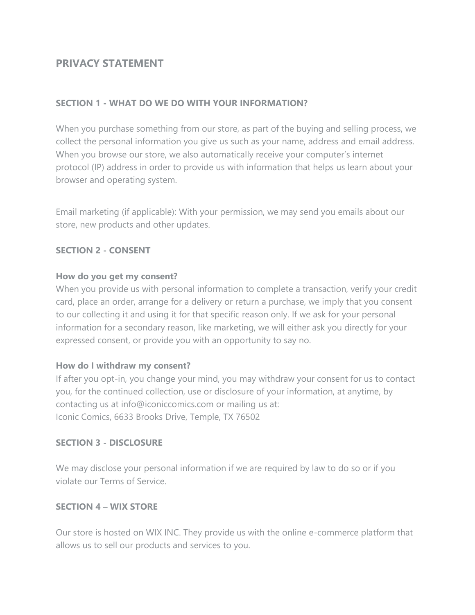# **PRIVACY STATEMENT**

### **SECTION 1 - WHAT DO WE DO WITH YOUR INFORMATION?**

When you purchase something from our store, as part of the buying and selling process, we collect the personal information you give us such as your name, address and email address. When you browse our store, we also automatically receive your computer's internet protocol (IP) address in order to provide us with information that helps us learn about your browser and operating system.

Email marketing (if applicable): With your permission, we may send you emails about our store, new products and other updates.

#### **SECTION 2 - CONSENT**

#### **How do you get my consent?**

When you provide us with personal information to complete a transaction, verify your credit card, place an order, arrange for a delivery or return a purchase, we imply that you consent to our collecting it and using it for that specific reason only. If we ask for your personal information for a secondary reason, like marketing, we will either ask you directly for your expressed consent, or provide you with an opportunity to say no.

#### **How do I withdraw my consent?**

If after you opt-in, you change your mind, you may withdraw your consent for us to contact you, for the continued collection, use or disclosure of your information, at anytime, by contacting us at info@iconiccomics.com or mailing us at: Iconic Comics, 6633 Brooks Drive, Temple, TX 76502

#### **SECTION 3 - DISCLOSURE**

We may disclose your personal information if we are required by law to do so or if you violate our Terms of Service.

#### **SECTION 4 – WIX STORE**

Our store is hosted on WIX INC. They provide us with the online e-commerce platform that allows us to sell our products and services to you.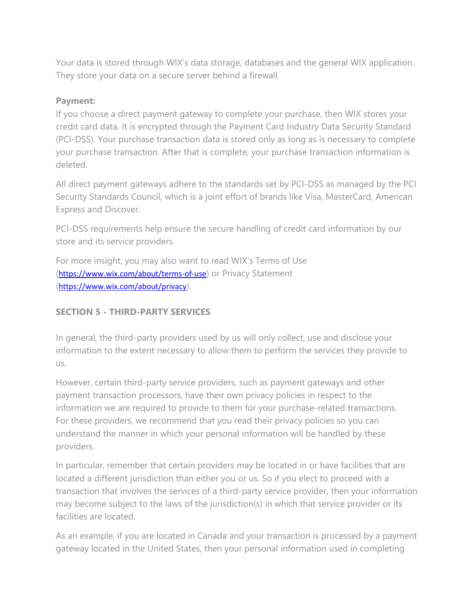Your data is stored through WIX's data storage, databases and the general WIX application. They store your data on a secure server behind a firewall.

### **Payment:**

If you choose a direct payment gateway to complete your purchase, then WIX stores your credit card data. It is encrypted through the Payment Card Industry Data Security Standard (PCI-DSS). Your purchase transaction data is stored only as long as is necessary to complete your purchase transaction. After that is complete, your purchase transaction information is deleted.

All direct payment gateways adhere to the standards set by PCI-DSS as managed by the PCI Security Standards Council, which is a joint effort of brands like Visa, MasterCard, American Express and Discover.

PCI-DSS requirements help ensure the secure handling of credit card information by our store and its service providers.

For more insight, you may also want to read WIX's Terms of Use (<https://www.wix.com/about/terms-of-use>) or Privacy Statement (<https://www.wix.com/about/privacy>).

### **SECTION 5 - THIRD-PARTY SERVICES**

In general, the third-party providers used by us will only collect, use and disclose your information to the extent necessary to allow them to perform the services they provide to us.

However, certain third-party service providers, such as payment gateways and other payment transaction processors, have their own privacy policies in respect to the information we are required to provide to them for your purchase-related transactions. For these providers, we recommend that you read their privacy policies so you can understand the manner in which your personal information will be handled by these providers.

In particular, remember that certain providers may be located in or have facilities that are located a different jurisdiction than either you or us. So if you elect to proceed with a transaction that involves the services of a third-party service provider, then your information may become subject to the laws of the jurisdiction(s) in which that service provider or its facilities are located.

As an example, if you are located in Canada and your transaction is processed by a payment gateway located in the United States, then your personal information used in completing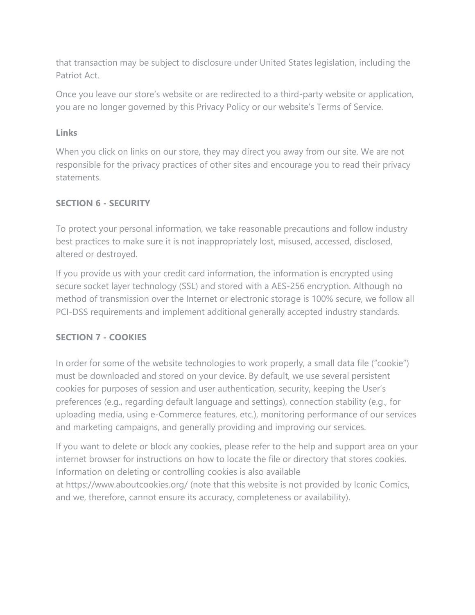that transaction may be subject to disclosure under United States legislation, including the Patriot Act.

Once you leave our store's website or are redirected to a third-party website or application, you are no longer governed by this Privacy Policy or our website's Terms of Service.

### **Links**

When you click on links on our store, they may direct you away from our site. We are not responsible for the privacy practices of other sites and encourage you to read their privacy statements.

# **SECTION 6 - SECURITY**

To protect your personal information, we take reasonable precautions and follow industry best practices to make sure it is not inappropriately lost, misused, accessed, disclosed, altered or destroyed.

If you provide us with your credit card information, the information is encrypted using secure socket layer technology (SSL) and stored with a AES-256 encryption. Although no method of transmission over the Internet or electronic storage is 100% secure, we follow all PCI-DSS requirements and implement additional generally accepted industry standards.

# **SECTION 7 - COOKIES**

In order for some of the website technologies to work properly, a small data file ("cookie") must be downloaded and stored on your device. By default, we use several persistent cookies for purposes of session and user authentication, security, keeping the User's preferences (e.g., regarding default language and settings), connection stability (e.g., for uploading media, using e-Commerce features, etc.), monitoring performance of our services and marketing campaigns, and generally providing and improving our services.

If you want to delete or block any cookies, please refer to the help and support area on your internet browser for instructions on how to locate the file or directory that stores cookies. Information on deleting or controlling cookies is also available at <https://www.aboutcookies.org/> [\(](https://www.aboutcookies.org/)note that this website is not provided by Iconic Comics, and we, therefore, cannot ensure its accuracy, completeness or availability).